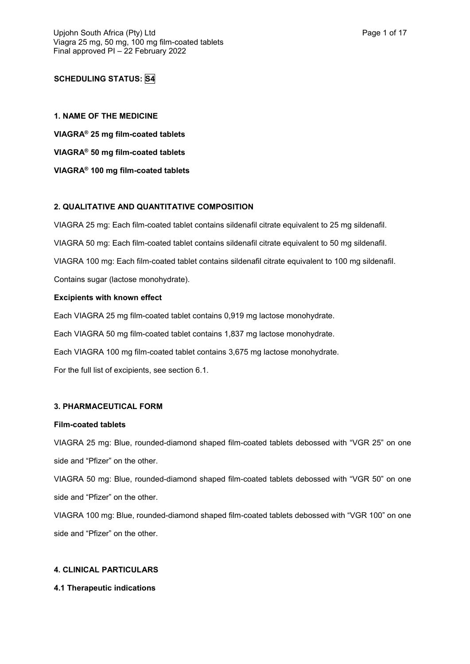# **SCHEDULING STATUS: S4**

**1. NAME OF THE MEDICINE VIAGRA® 25 mg film-coated tablets VIAGRA® 50 mg film-coated tablets VIAGRA® 100 mg film-coated tablets**

# **2. QUALITATIVE AND QUANTITATIVE COMPOSITION**

VIAGRA 25 mg: Each film-coated tablet contains sildenafil citrate equivalent to 25 mg sildenafil. VIAGRA 50 mg: Each film-coated tablet contains sildenafil citrate equivalent to 50 mg sildenafil. VIAGRA 100 mg: Each film-coated tablet contains sildenafil citrate equivalent to 100 mg sildenafil.

Contains sugar (lactose monohydrate).

### **Excipients with known effect**

Each VIAGRA 25 mg film-coated tablet contains 0,919 mg lactose monohydrate. Each VIAGRA 50 mg film-coated tablet contains 1,837 mg lactose monohydrate.

Each VIAGRA 100 mg film-coated tablet contains 3,675 mg lactose monohydrate.

For the full list of excipients, see section 6.1.

#### **3. PHARMACEUTICAL FORM**

#### **Film-coated tablets**

VIAGRA 25 mg: Blue, rounded-diamond shaped film-coated tablets debossed with "VGR 25" on one side and "Pfizer" on the other.

VIAGRA 50 mg: Blue, rounded-diamond shaped film-coated tablets debossed with "VGR 50" on one side and "Pfizer" on the other.

VIAGRA 100 mg: Blue, rounded-diamond shaped film-coated tablets debossed with "VGR 100" on one side and "Pfizer" on the other.

## **4. CLINICAL PARTICULARS**

#### **4.1 Therapeutic indications**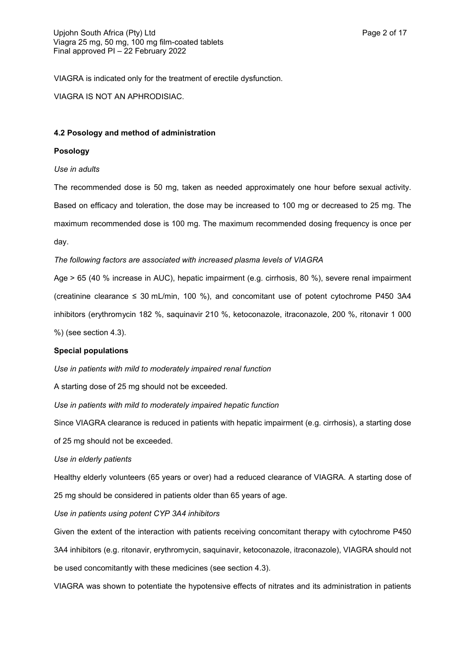VIAGRA is indicated only for the treatment of erectile dysfunction.

VIAGRA IS NOT AN APHRODISIAC.

#### **4.2 Posology and method of administration**

#### **Posology**

#### *Use in adults*

The recommended dose is 50 mg, taken as needed approximately one hour before sexual activity. Based on efficacy and toleration, the dose may be increased to 100 mg or decreased to 25 mg. The maximum recommended dose is 100 mg. The maximum recommended dosing frequency is once per day.

#### *The following factors are associated with increased plasma levels of VIAGRA*

Age > 65 (40 % increase in AUC), hepatic impairment (e.g. cirrhosis, 80 %), severe renal impairment (creatinine clearance  $\leq 30$  mL/min, 100 %), and concomitant use of potent cytochrome P450 3A4 inhibitors (erythromycin 182 %, saquinavir 210 %, ketoconazole, itraconazole, 200 %, ritonavir 1 000

%) (see section 4.3).

#### **Special populations**

*Use in patients with mild to moderately impaired renal function*

A starting dose of 25 mg should not be exceeded.

*Use in patients with mild to moderately impaired hepatic function*

Since VIAGRA clearance is reduced in patients with hepatic impairment (e.g. cirrhosis), a starting dose

of 25 mg should not be exceeded.

#### *Use in elderly patients*

Healthy elderly volunteers (65 years or over) had a reduced clearance of VIAGRA. A starting dose of 25 mg should be considered in patients older than 65 years of age.

#### *Use in patients using potent CYP 3A4 inhibitors*

Given the extent of the interaction with patients receiving concomitant therapy with cytochrome P450 3A4 inhibitors (e.g. ritonavir, erythromycin, saquinavir, ketoconazole, itraconazole), VIAGRA should not be used concomitantly with these medicines (see section 4.3).

VIAGRA was shown to potentiate the hypotensive effects of nitrates and its administration in patients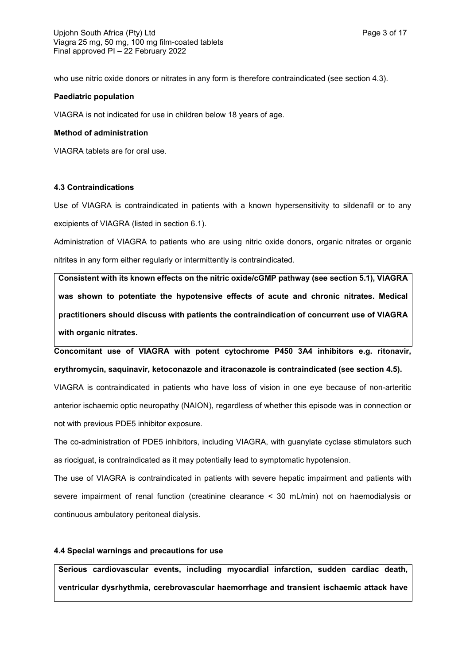who use nitric oxide donors or nitrates in any form is therefore contraindicated (see section 4.3).

#### **Paediatric population**

VIAGRA is not indicated for use in children below 18 years of age.

### **Method of administration**

VIAGRA tablets are for oral use.

### **4.3 Contraindications**

Use of VIAGRA is contraindicated in patients with a known hypersensitivity to sildenafil or to any excipients of VIAGRA (listed in section 6.1).

Administration of VIAGRA to patients who are using nitric oxide donors, organic nitrates or organic nitrites in any form either regularly or intermittently is contraindicated.

**Consistent with its known effects on the nitric oxide/cGMP pathway (see section 5.1), VIAGRA was shown to potentiate the hypotensive effects of acute and chronic nitrates. Medical practitioners should discuss with patients the contraindication of concurrent use of VIAGRA with organic nitrates.**

**Concomitant use of VIAGRA with potent cytochrome P450 3A4 inhibitors e.g. ritonavir, erythromycin, saquinavir, ketoconazole and itraconazole is contraindicated (see section 4.5).**

VIAGRA is contraindicated in patients who have loss of vision in one eye because of non-arteritic anterior ischaemic optic neuropathy (NAION), regardless of whether this episode was in connection or not with previous PDE5 inhibitor exposure.

The co-administration of PDE5 inhibitors, including VIAGRA, with guanylate cyclase stimulators such as riociguat, is contraindicated as it may potentially lead to symptomatic hypotension.

The use of VIAGRA is contraindicated in patients with severe hepatic impairment and patients with severe impairment of renal function (creatinine clearance < 30 mL/min) not on haemodialysis or continuous ambulatory peritoneal dialysis.

## **4.4 Special warnings and precautions for use**

**Serious cardiovascular events, including myocardial infarction, sudden cardiac death, ventricular dysrhythmia, cerebrovascular haemorrhage and transient ischaemic attack have**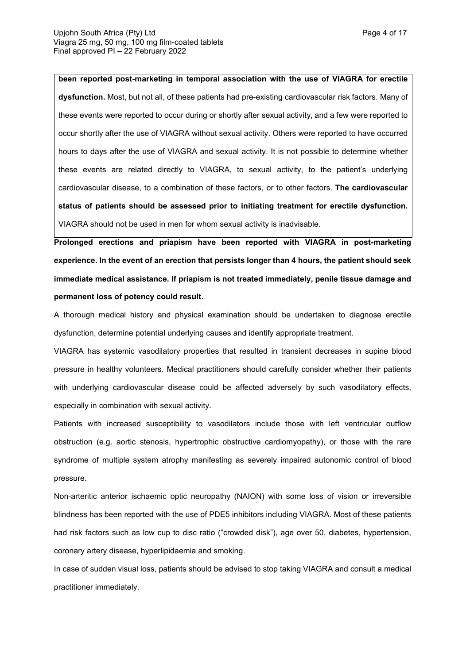**been reported post-marketing in temporal association with the use of VIAGRA for erectile dysfunction.** Most, but not all, of these patients had pre-existing cardiovascular risk factors. Many of these events were reported to occur during or shortly after sexual activity, and a few were reported to occur shortly after the use of VIAGRA without sexual activity. Others were reported to have occurred hours to days after the use of VIAGRA and sexual activity. It is not possible to determine whether these events are related directly to VIAGRA, to sexual activity, to the patient's underlying cardiovascular disease, to a combination of these factors, or to other factors. **The cardiovascular status of patients should be assessed prior to initiating treatment for erectile dysfunction.** VIAGRA should not be used in men for whom sexual activity is inadvisable.

**Prolonged erections and priapism have been reported with VIAGRA in post-marketing experience. In the event of an erection that persists longer than 4 hours, the patient should seek immediate medical assistance. If priapism is not treated immediately, penile tissue damage and permanent loss of potency could result.**

A thorough medical history and physical examination should be undertaken to diagnose erectile dysfunction, determine potential underlying causes and identify appropriate treatment.

VIAGRA has systemic vasodilatory properties that resulted in transient decreases in supine blood pressure in healthy volunteers. Medical practitioners should carefully consider whether their patients with underlying cardiovascular disease could be affected adversely by such vasodilatory effects, especially in combination with sexual activity.

Patients with increased susceptibility to vasodilators include those with left ventricular outflow obstruction (e.g. aortic stenosis, hypertrophic obstructive cardiomyopathy), or those with the rare syndrome of multiple system atrophy manifesting as severely impaired autonomic control of blood pressure.

Non-arteritic anterior ischaemic optic neuropathy (NAION) with some loss of vision or irreversible blindness has been reported with the use of PDE5 inhibitors including VIAGRA. Most of these patients had risk factors such as low cup to disc ratio ("crowded disk"), age over 50, diabetes, hypertension, coronary artery disease, hyperlipidaemia and smoking.

In case of sudden visual loss, patients should be advised to stop taking VIAGRA and consult a medical practitioner immediately.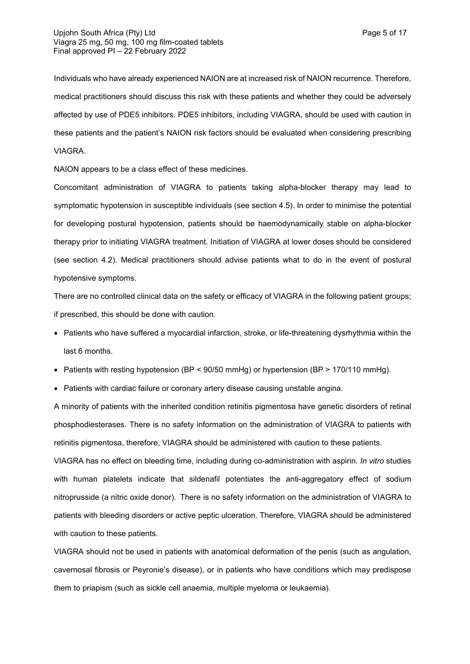Individuals who have already experienced NAION are at increased risk of NAION recurrence. Therefore, medical practitioners should discuss this risk with these patients and whether they could be adversely affected by use of PDE5 inhibitors. PDE5 inhibitors, including VIAGRA, should be used with caution in these patients and the patient's NAION risk factors should be evaluated when considering prescribing VIAGRA.

NAION appears to be a class effect of these medicines.

Concomitant administration of VIAGRA to patients taking alpha-blocker therapy may lead to symptomatic hypotension in susceptible individuals (see section 4.5). In order to minimise the potential for developing postural hypotension, patients should be haemodynamically stable on alpha-blocker therapy prior to initiating VIAGRA treatment. Initiation of VIAGRA at lower doses should be considered (see section 4.2). Medical practitioners should advise patients what to do in the event of postural hypotensive symptoms.

There are no controlled clinical data on the safety or efficacy of VIAGRA in the following patient groups; if prescribed, this should be done with caution.

- Patients who have suffered a myocardial infarction, stroke, or life-threatening dysrhythmia within the last 6 months.
- Patients with resting hypotension (BP < 90/50 mmHg) or hypertension (BP > 170/110 mmHg).
- Patients with cardiac failure or coronary artery disease causing unstable angina.

A minority of patients with the inherited condition retinitis pigmentosa have genetic disorders of retinal phosphodiesterases. There is no safety information on the administration of VIAGRA to patients with retinitis pigmentosa, therefore, VIAGRA should be administered with caution to these patients.

VIAGRA has no effect on bleeding time, including during co-administration with aspirin. *In vitro* studies with human platelets indicate that sildenafil potentiates the anti-aggregatory effect of sodium nitroprusside (a nitric oxide donor). There is no safety information on the administration of VIAGRA to patients with bleeding disorders or active peptic ulceration. Therefore, VIAGRA should be administered with caution to these patients.

VIAGRA should not be used in patients with anatomical deformation of the penis (such as angulation, cavernosal fibrosis or Peyronie's disease), or in patients who have conditions which may predispose them to priapism (such as sickle cell anaemia, multiple myeloma or leukaemia).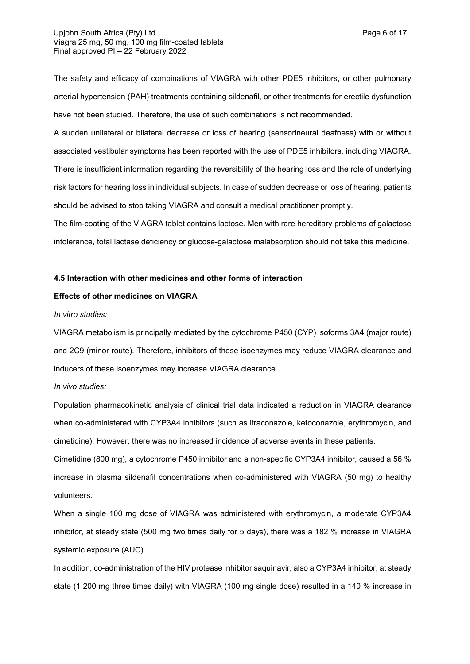The safety and efficacy of combinations of VIAGRA with other PDE5 inhibitors, or other pulmonary arterial hypertension (PAH) treatments containing sildenafil, or other treatments for erectile dysfunction have not been studied. Therefore, the use of such combinations is not recommended.

A sudden unilateral or bilateral decrease or loss of hearing (sensorineural deafness) with or without associated vestibular symptoms has been reported with the use of PDE5 inhibitors, including VIAGRA. There is insufficient information regarding the reversibility of the hearing loss and the role of underlying risk factors for hearing loss in individual subjects. In case of sudden decrease or loss of hearing, patients should be advised to stop taking VIAGRA and consult a medical practitioner promptly.

The film-coating of the VIAGRA tablet contains lactose. Men with rare hereditary problems of galactose intolerance, total lactase deficiency or glucose-galactose malabsorption should not take this medicine.

#### **4.5 Interaction with other medicines and other forms of interaction**

#### **Effects of other medicines on VIAGRA**

#### *In vitro studies:*

VIAGRA metabolism is principally mediated by the cytochrome P450 (CYP) isoforms 3A4 (major route) and 2C9 (minor route). Therefore, inhibitors of these isoenzymes may reduce VIAGRA clearance and inducers of these isoenzymes may increase VIAGRA clearance.

*In vivo studies:*

Population pharmacokinetic analysis of clinical trial data indicated a reduction in VIAGRA clearance when co-administered with CYP3A4 inhibitors (such as itraconazole, ketoconazole, erythromycin, and cimetidine). However, there was no increased incidence of adverse events in these patients.

Cimetidine (800 mg), a cytochrome P450 inhibitor and a non-specific CYP3A4 inhibitor, caused a 56 % increase in plasma sildenafil concentrations when co-administered with VIAGRA (50 mg) to healthy volunteers.

When a single 100 mg dose of VIAGRA was administered with erythromycin, a moderate CYP3A4 inhibitor, at steady state (500 mg two times daily for 5 days), there was a 182 % increase in VIAGRA systemic exposure (AUC).

In addition, co-administration of the HIV protease inhibitor saquinavir, also a CYP3A4 inhibitor, at steady state (1 200 mg three times daily) with VIAGRA (100 mg single dose) resulted in a 140 % increase in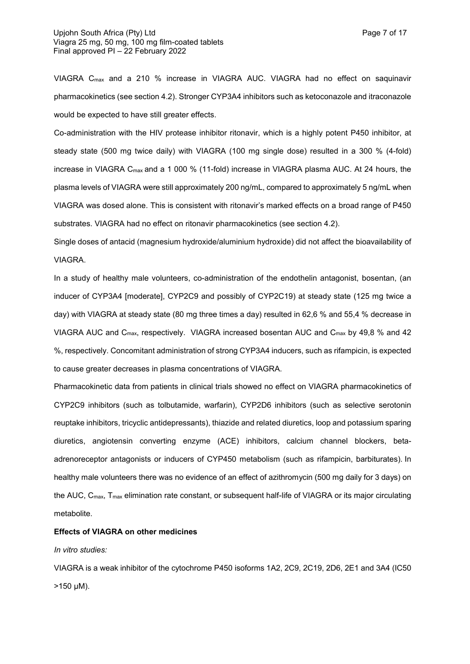VIAGRA Cmax and a 210 % increase in VIAGRA AUC. VIAGRA had no effect on saquinavir pharmacokinetics (see section 4.2). Stronger CYP3A4 inhibitors such as ketoconazole and itraconazole would be expected to have still greater effects.

Co-administration with the HIV protease inhibitor ritonavir, which is a highly potent P450 inhibitor, at steady state (500 mg twice daily) with VIAGRA (100 mg single dose) resulted in a 300 % (4-fold) increase in VIAGRA C<sub>max</sub> and a 1 000 % (11-fold) increase in VIAGRA plasma AUC. At 24 hours, the plasma levels of VIAGRA were still approximately 200 ng/mL, compared to approximately 5 ng/mL when VIAGRA was dosed alone. This is consistent with ritonavir's marked effects on a broad range of P450 substrates. VIAGRA had no effect on ritonavir pharmacokinetics (see section 4.2).

Single doses of antacid (magnesium hydroxide/aluminium hydroxide) did not affect the bioavailability of VIAGRA.

In a study of healthy male volunteers, co-administration of the endothelin antagonist, bosentan, (an inducer of CYP3A4 [moderate], CYP2C9 and possibly of CYP2C19) at steady state (125 mg twice a day) with VIAGRA at steady state (80 mg three times a day) resulted in 62,6 % and 55,4 % decrease in VIAGRA AUC and C<sub>max</sub>, respectively. VIAGRA increased bosentan AUC and C<sub>max</sub> by 49,8 % and 42 %, respectively. Concomitant administration of strong CYP3A4 inducers, such as rifampicin, is expected to cause greater decreases in plasma concentrations of VIAGRA.

Pharmacokinetic data from patients in clinical trials showed no effect on VIAGRA pharmacokinetics of CYP2C9 inhibitors (such as tolbutamide, warfarin), CYP2D6 inhibitors (such as selective serotonin reuptake inhibitors, tricyclic antidepressants), thiazide and related diuretics, loop and potassium sparing diuretics, angiotensin converting enzyme (ACE) inhibitors, calcium channel blockers, betaadrenoreceptor antagonists or inducers of CYP450 metabolism (such as rifampicin, barbiturates). In healthy male volunteers there was no evidence of an effect of azithromycin (500 mg daily for 3 days) on the AUC, C<sub>max</sub>, T<sub>max</sub> elimination rate constant, or subsequent half-life of VIAGRA or its major circulating metabolite.

#### **Effects of VIAGRA on other medicines**

#### *In vitro studies:*

VIAGRA is a weak inhibitor of the cytochrome P450 isoforms 1A2, 2C9, 2C19, 2D6, 2E1 and 3A4 (IC50  $>150 \mu M$ ).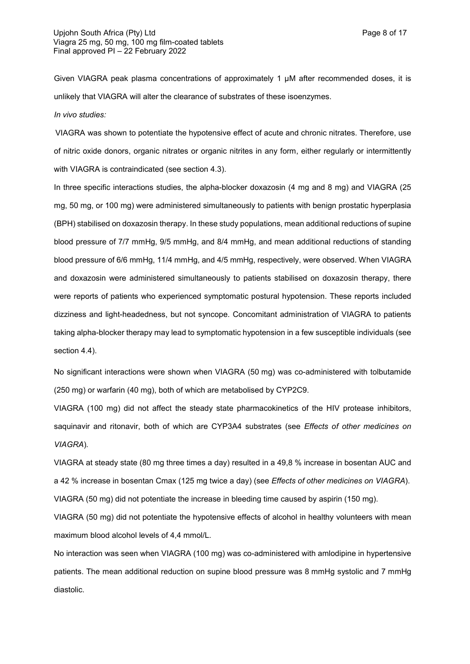Given VIAGRA peak plasma concentrations of approximately 1 µM after recommended doses, it is unlikely that VIAGRA will alter the clearance of substrates of these isoenzymes.

*In vivo studies:*

VIAGRA was shown to potentiate the hypotensive effect of acute and chronic nitrates. Therefore, use of nitric oxide donors, organic nitrates or organic nitrites in any form, either regularly or intermittently with VIAGRA is contraindicated (see section 4.3).

In three specific interactions studies, the alpha-blocker doxazosin (4 mg and 8 mg) and VIAGRA (25 mg, 50 mg, or 100 mg) were administered simultaneously to patients with benign prostatic hyperplasia (BPH) stabilised on doxazosin therapy. In these study populations, mean additional reductions of supine blood pressure of 7/7 mmHg, 9/5 mmHg, and 8/4 mmHg, and mean additional reductions of standing blood pressure of 6/6 mmHg, 11/4 mmHg, and 4/5 mmHg, respectively, were observed. When VIAGRA and doxazosin were administered simultaneously to patients stabilised on doxazosin therapy, there were reports of patients who experienced symptomatic postural hypotension. These reports included dizziness and light-headedness, but not syncope. Concomitant administration of VIAGRA to patients taking alpha-blocker therapy may lead to symptomatic hypotension in a few susceptible individuals (see section 4.4).

No significant interactions were shown when VIAGRA (50 mg) was co-administered with tolbutamide (250 mg) or warfarin (40 mg), both of which are metabolised by CYP2C9.

VIAGRA (100 mg) did not affect the steady state pharmacokinetics of the HIV protease inhibitors, saquinavir and ritonavir, both of which are CYP3A4 substrates (see *Effects of other medicines on VIAGRA*)*.*

VIAGRA at steady state (80 mg three times a day) resulted in a 49,8 % increase in bosentan AUC and a 42 % increase in bosentan Cmax (125 mg twice a day) (see *Effects of other medicines on VIAGRA*). VIAGRA (50 mg) did not potentiate the increase in bleeding time caused by aspirin (150 mg).

VIAGRA (50 mg) did not potentiate the hypotensive effects of alcohol in healthy volunteers with mean maximum blood alcohol levels of 4,4 mmol/L.

No interaction was seen when VIAGRA (100 mg) was co-administered with amlodipine in hypertensive patients. The mean additional reduction on supine blood pressure was 8 mmHg systolic and 7 mmHg diastolic.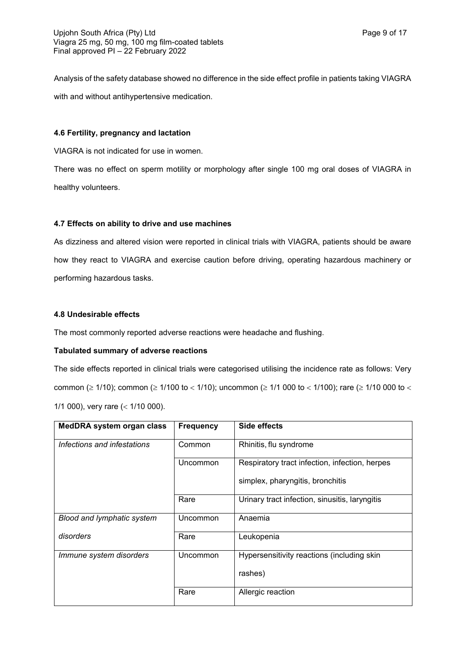Analysis of the safety database showed no difference in the side effect profile in patients taking VIAGRA with and without antihypertensive medication.

#### **4.6 Fertility, pregnancy and lactation**

VIAGRA is not indicated for use in women.

There was no effect on sperm motility or morphology after single 100 mg oral doses of VIAGRA in healthy volunteers.

## **4.7 Effects on ability to drive and use machines**

As dizziness and altered vision were reported in clinical trials with VIAGRA, patients should be aware how they react to VIAGRA and exercise caution before driving, operating hazardous machinery or performing hazardous tasks.

### **4.8 Undesirable effects**

The most commonly reported adverse reactions were headache and flushing.

## **Tabulated summary of adverse reactions**

The side effects reported in clinical trials were categorised utilising the incidence rate as follows: Very common ( $\geq$  1/10); common ( $\geq$  1/100 to < 1/10); uncommon ( $\geq$  1/1 000 to < 1/100); rare ( $\geq$  1/10 000 to < 1/1 000), very rare  $($  < 1/10 000).

| MedDRA system organ class   | <b>Frequency</b> | Side effects                                   |
|-----------------------------|------------------|------------------------------------------------|
| Infections and infestations | Common           | Rhinitis, flu syndrome                         |
|                             | Uncommon         | Respiratory tract infection, infection, herpes |
|                             |                  | simplex, pharyngitis, bronchitis               |
|                             | Rare             | Urinary tract infection, sinusitis, laryngitis |
| Blood and lymphatic system  | Uncommon         | Anaemia                                        |
| disorders                   | Rare             | Leukopenia                                     |
| Immune system disorders     | Uncommon         | Hypersensitivity reactions (including skin     |
|                             |                  | rashes)                                        |
|                             | Rare             | Allergic reaction                              |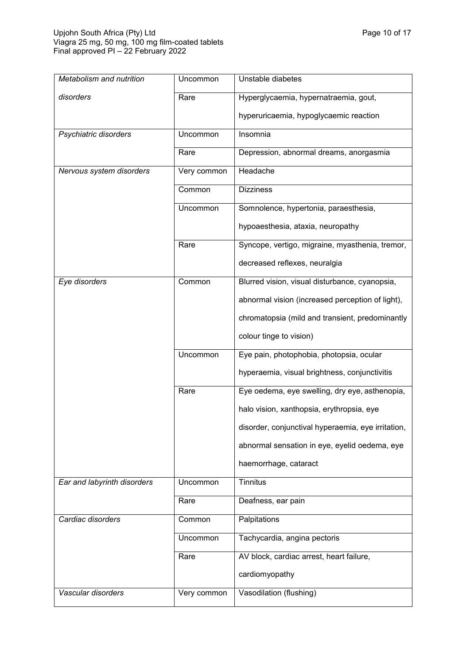| Metabolism and nutrition    | Uncommon    | Unstable diabetes                                  |
|-----------------------------|-------------|----------------------------------------------------|
| disorders                   | Rare        | Hyperglycaemia, hypernatraemia, gout,              |
|                             |             | hyperuricaemia, hypoglycaemic reaction             |
| Psychiatric disorders       | Uncommon    | Insomnia                                           |
|                             | Rare        | Depression, abnormal dreams, anorgasmia            |
| Nervous system disorders    | Very common | Headache                                           |
|                             | Common      | <b>Dizziness</b>                                   |
|                             | Uncommon    | Somnolence, hypertonia, paraesthesia,              |
|                             |             | hypoaesthesia, ataxia, neuropathy                  |
|                             | Rare        | Syncope, vertigo, migraine, myasthenia, tremor,    |
|                             |             | decreased reflexes, neuralgia                      |
| Eye disorders               | Common      | Blurred vision, visual disturbance, cyanopsia,     |
|                             |             | abnormal vision (increased perception of light),   |
|                             |             | chromatopsia (mild and transient, predominantly    |
|                             |             | colour tinge to vision)                            |
|                             | Uncommon    | Eye pain, photophobia, photopsia, ocular           |
|                             |             | hyperaemia, visual brightness, conjunctivitis      |
|                             | Rare        | Eye oedema, eye swelling, dry eye, asthenopia,     |
|                             |             | halo vision, xanthopsia, erythropsia, eye          |
|                             |             | disorder, conjunctival hyperaemia, eye irritation, |
|                             |             | abnormal sensation in eye, eyelid oedema, eye      |
|                             |             | haemorrhage, cataract                              |
| Ear and labyrinth disorders | Uncommon    | <b>Tinnitus</b>                                    |
|                             | Rare        | Deafness, ear pain                                 |
| Cardiac disorders           | Common      | Palpitations                                       |
|                             | Uncommon    | Tachycardia, angina pectoris                       |
|                             | Rare        | AV block, cardiac arrest, heart failure,           |
|                             |             | cardiomyopathy                                     |
| Vascular disorders          | Very common | Vasodilation (flushing)                            |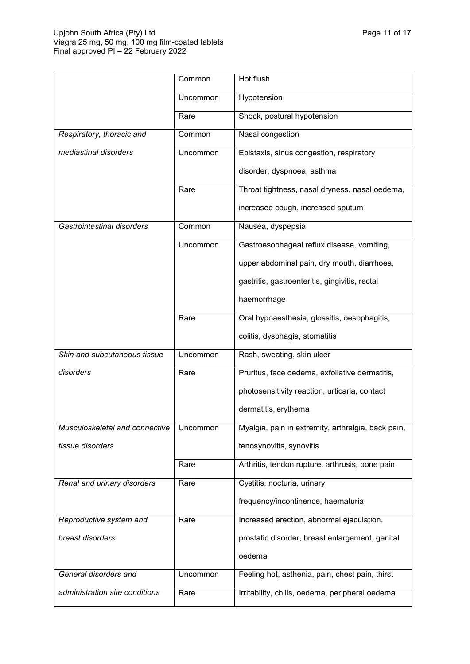|                                           | Common   | Hot flush                                          |
|-------------------------------------------|----------|----------------------------------------------------|
|                                           | Uncommon | Hypotension                                        |
|                                           | Rare     | Shock, postural hypotension                        |
| Respiratory, thoracic and                 | Common   | Nasal congestion                                   |
| mediastinal disorders                     | Uncommon | Epistaxis, sinus congestion, respiratory           |
|                                           |          | disorder, dyspnoea, asthma                         |
|                                           | Rare     | Throat tightness, nasal dryness, nasal oedema,     |
|                                           |          | increased cough, increased sputum                  |
| Gastrointestinal disorders                | Common   | Nausea, dyspepsia                                  |
|                                           | Uncommon | Gastroesophageal reflux disease, vomiting,         |
|                                           |          | upper abdominal pain, dry mouth, diarrhoea,        |
|                                           |          | gastritis, gastroenteritis, gingivitis, rectal     |
|                                           |          | haemorrhage                                        |
|                                           | Rare     | Oral hypoaesthesia, glossitis, oesophagitis,       |
|                                           |          | colitis, dysphagia, stomatitis                     |
| Skin and subcutaneous tissue              | Uncommon | Rash, sweating, skin ulcer                         |
| disorders                                 | Rare     | Pruritus, face oedema, exfoliative dermatitis,     |
|                                           |          | photosensitivity reaction, urticaria, contact      |
|                                           |          | dermatitis, erythema                               |
| Musculoskeletal and connective   Uncommon |          | Myalgia, pain in extremity, arthralgia, back pain, |
| tissue disorders                          |          | tenosynovitis, synovitis                           |
|                                           | Rare     | Arthritis, tendon rupture, arthrosis, bone pain    |
| Renal and urinary disorders               | Rare     | Cystitis, nocturia, urinary                        |
|                                           |          | frequency/incontinence, haematuria                 |
| Reproductive system and                   | Rare     | Increased erection, abnormal ejaculation,          |
| breast disorders                          |          | prostatic disorder, breast enlargement, genital    |
|                                           |          | oedema                                             |
| General disorders and                     | Uncommon | Feeling hot, asthenia, pain, chest pain, thirst    |
| administration site conditions            | Rare     | Irritability, chills, oedema, peripheral oedema    |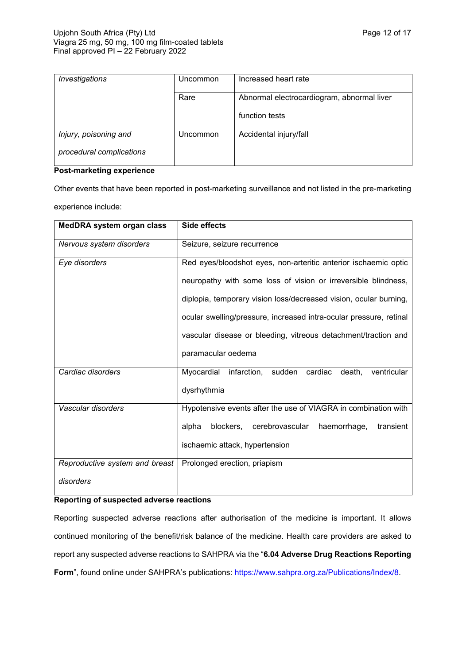| Investigations           | Uncommon | Increased heart rate                       |
|--------------------------|----------|--------------------------------------------|
|                          | Rare     | Abnormal electrocardiogram, abnormal liver |
|                          |          | function tests                             |
| Injury, poisoning and    | Uncommon | Accidental injury/fall                     |
| procedural complications |          |                                            |

#### **Post-marketing experience**

Other events that have been reported in post-marketing surveillance and not listed in the pre-marketing experience include:

| MedDRA system organ class      | <b>Side effects</b>                                                  |  |  |
|--------------------------------|----------------------------------------------------------------------|--|--|
| Nervous system disorders       | Seizure, seizure recurrence                                          |  |  |
| Eye disorders                  | Red eyes/bloodshot eyes, non-arteritic anterior ischaemic optic      |  |  |
|                                | neuropathy with some loss of vision or irreversible blindness,       |  |  |
|                                | diplopia, temporary vision loss/decreased vision, ocular burning,    |  |  |
|                                | ocular swelling/pressure, increased intra-ocular pressure, retinal   |  |  |
|                                | vascular disease or bleeding, vitreous detachment/traction and       |  |  |
|                                | paramacular oedema                                                   |  |  |
| Cardiac disorders              | infarction,<br>sudden cardiac<br>Myocardial<br>ventricular<br>death. |  |  |
|                                | dysrhythmia                                                          |  |  |
| Vascular disorders             | Hypotensive events after the use of VIAGRA in combination with       |  |  |
|                                | cerebrovascular<br>alpha<br>blockers,<br>haemorrhage,<br>transient   |  |  |
|                                | ischaemic attack, hypertension                                       |  |  |
| Reproductive system and breast | Prolonged erection, priapism                                         |  |  |
| disorders                      |                                                                      |  |  |

#### **Reporting of suspected adverse reactions**

Reporting suspected adverse reactions after authorisation of the medicine is important. It allows continued monitoring of the benefit/risk balance of the medicine. Health care providers are asked to report any suspected adverse reactions to SAHPRA via the "**6.04 Adverse Drug Reactions Reporting**  Form", found online under SAHPRA's publications:<https://www.sahpra.org.za/Publications/Index/8>.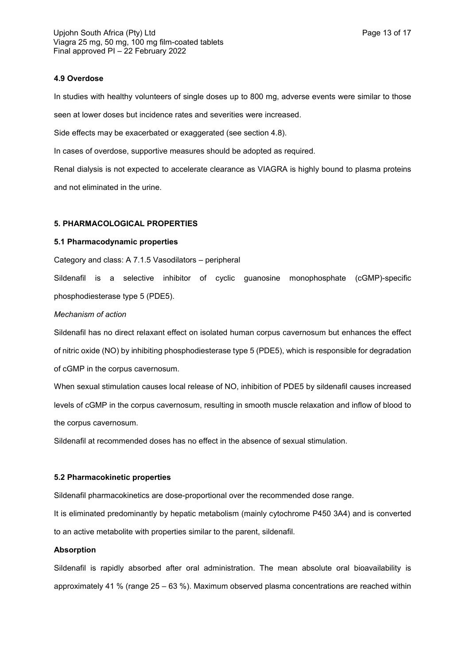#### **4.9 Overdose**

In studies with healthy volunteers of single doses up to 800 mg, adverse events were similar to those seen at lower doses but incidence rates and severities were increased.

Side effects may be exacerbated or exaggerated (see section 4.8).

In cases of overdose, supportive measures should be adopted as required.

Renal dialysis is not expected to accelerate clearance as VIAGRA is highly bound to plasma proteins and not eliminated in the urine.

## **5. PHARMACOLOGICAL PROPERTIES**

### **5.1 Pharmacodynamic properties**

Category and class: A 7.1.5 Vasodilators – peripheral

Sildenafil is a selective inhibitor of cyclic guanosine monophosphate (cGMP)-specific phosphodiesterase type 5 (PDE5).

### *Mechanism of action*

Sildenafil has no direct relaxant effect on isolated human corpus cavernosum but enhances the effect of nitric oxide (NO) by inhibiting phosphodiesterase type 5 (PDE5), which is responsible for degradation of cGMP in the corpus cavernosum.

When sexual stimulation causes local release of NO, inhibition of PDE5 by sildenafil causes increased levels of cGMP in the corpus cavernosum, resulting in smooth muscle relaxation and inflow of blood to the corpus cavernosum.

Sildenafil at recommended doses has no effect in the absence of sexual stimulation.

## **5.2 Pharmacokinetic properties**

Sildenafil pharmacokinetics are dose-proportional over the recommended dose range.

It is eliminated predominantly by hepatic metabolism (mainly cytochrome P450 3A4) and is converted to an active metabolite with properties similar to the parent, sildenafil.

## **Absorption**

Sildenafil is rapidly absorbed after oral administration. The mean absolute oral bioavailability is approximately 41 % (range 25 – 63 %). Maximum observed plasma concentrations are reached within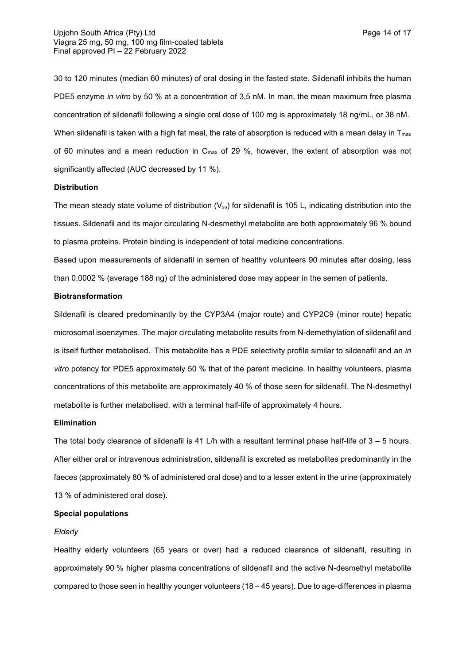30 to 120 minutes (median 60 minutes) of oral dosing in the fasted state. Sildenafil inhibits the human PDE5 enzyme *in vitro* by 50 % at a concentration of 3,5 nM. In man, the mean maximum free plasma concentration of sildenafil following a single oral dose of 100 mg is approximately 18 ng/mL, or 38 nM. When sildenafil is taken with a high fat meal, the rate of absorption is reduced with a mean delay in  $T_{\text{max}}$ of 60 minutes and a mean reduction in Cmax of 29 %, however, the extent of absorption was not significantly affected (AUC decreased by 11 %).

#### **Distribution**

The mean steady state volume of distribution (V<sub>ss</sub>) for sildenafil is 105 L, indicating distribution into the tissues. Sildenafil and its major circulating N-desmethyl metabolite are both approximately 96 % bound to plasma proteins. Protein binding is independent of total medicine concentrations.

Based upon measurements of sildenafil in semen of healthy volunteers 90 minutes after dosing, less than 0,0002 % (average 188 ng) of the administered dose may appear in the semen of patients.

#### **Biotransformation**

Sildenafil is cleared predominantly by the CYP3A4 (major route) and CYP2C9 (minor route) hepatic microsomal isoenzymes. The major circulating metabolite results from N-demethylation of sildenafil and is itself further metabolised. This metabolite has a PDE selectivity profile similar to sildenafil and an *in vitro* potency for PDE5 approximately 50 % that of the parent medicine. In healthy volunteers, plasma concentrations of this metabolite are approximately 40 % of those seen for sildenafil. The N-desmethyl metabolite is further metabolised, with a terminal half-life of approximately 4 hours.

#### **Elimination**

The total body clearance of sildenafil is 41 L/h with a resultant terminal phase half-life of  $3 - 5$  hours. After either oral or intravenous administration, sildenafil is excreted as metabolites predominantly in the faeces (approximately 80 % of administered oral dose) and to a lesser extent in the urine (approximately 13 % of administered oral dose).

#### **Special populations**

#### *Elderly*

Healthy elderly volunteers (65 years or over) had a reduced clearance of sildenafil, resulting in approximately 90 % higher plasma concentrations of sildenafil and the active N-desmethyl metabolite compared to those seen in healthy younger volunteers (18 – 45 years). Due to age-differences in plasma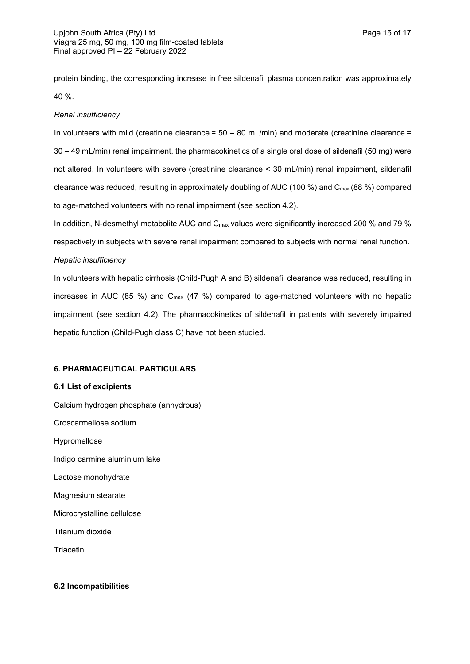protein binding, the corresponding increase in free sildenafil plasma concentration was approximately 40 %.

### *Renal insufficiency*

In volunteers with mild (creatinine clearance =  $50 - 80$  mL/min) and moderate (creatinine clearance = 30 – 49 mL/min) renal impairment, the pharmacokinetics of a single oral dose of sildenafil (50 mg) were not altered. In volunteers with severe (creatinine clearance < 30 mL/min) renal impairment, sildenafil clearance was reduced, resulting in approximately doubling of AUC (100 %) and Cmax (88 %) compared to age-matched volunteers with no renal impairment (see section 4.2).

In addition, N-desmethyl metabolite AUC and  $C_{\text{max}}$  values were significantly increased 200 % and 79 % respectively in subjects with severe renal impairment compared to subjects with normal renal function. *Hepatic insufficiency*

# In volunteers with hepatic cirrhosis (Child-Pugh A and B) sildenafil clearance was reduced, resulting in increases in AUC (85 %) and  $C_{\text{max}}$  (47 %) compared to age-matched volunteers with no hepatic impairment (see section 4.2). The pharmacokinetics of sildenafil in patients with severely impaired hepatic function (Child-Pugh class C) have not been studied.

## **6. PHARMACEUTICAL PARTICULARS**

#### **6.1 List of excipients**

Calcium hydrogen phosphate (anhydrous) Croscarmellose sodium Hypromellose Indigo carmine aluminium lake Lactose monohydrate Magnesium stearate Microcrystalline cellulose Titanium dioxide

**Triacetin** 

#### **6.2 Incompatibilities**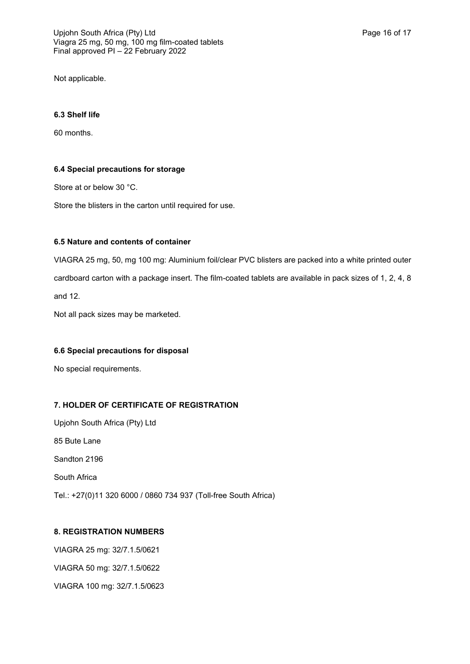Not applicable.

# **6.3 Shelf life**

60 months.

# **6.4 Special precautions for storage**

Store at or below 30 °C.

Store the blisters in the carton until required for use.

## **6.5 Nature and contents of container**

VIAGRA 25 mg, 50, mg 100 mg: Aluminium foil/clear PVC blisters are packed into a white printed outer cardboard carton with a package insert. The film-coated tablets are available in pack sizes of 1, 2, 4, 8 and 12.

Not all pack sizes may be marketed.

## **6.6 Special precautions for disposal**

No special requirements.

# **7. HOLDER OF CERTIFICATE OF REGISTRATION**

Upjohn South Africa (Pty) Ltd 85 Bute Lane Sandton 2196 South Africa Tel.: +27(0)11 320 6000 / 0860 734 937 (Toll-free South Africa)

## **8. REGISTRATION NUMBERS**

VIAGRA 25 mg: 32/7.1.5/0621 VIAGRA 50 mg: 32/7.1.5/0622 VIAGRA 100 mg: 32/7.1.5/0623